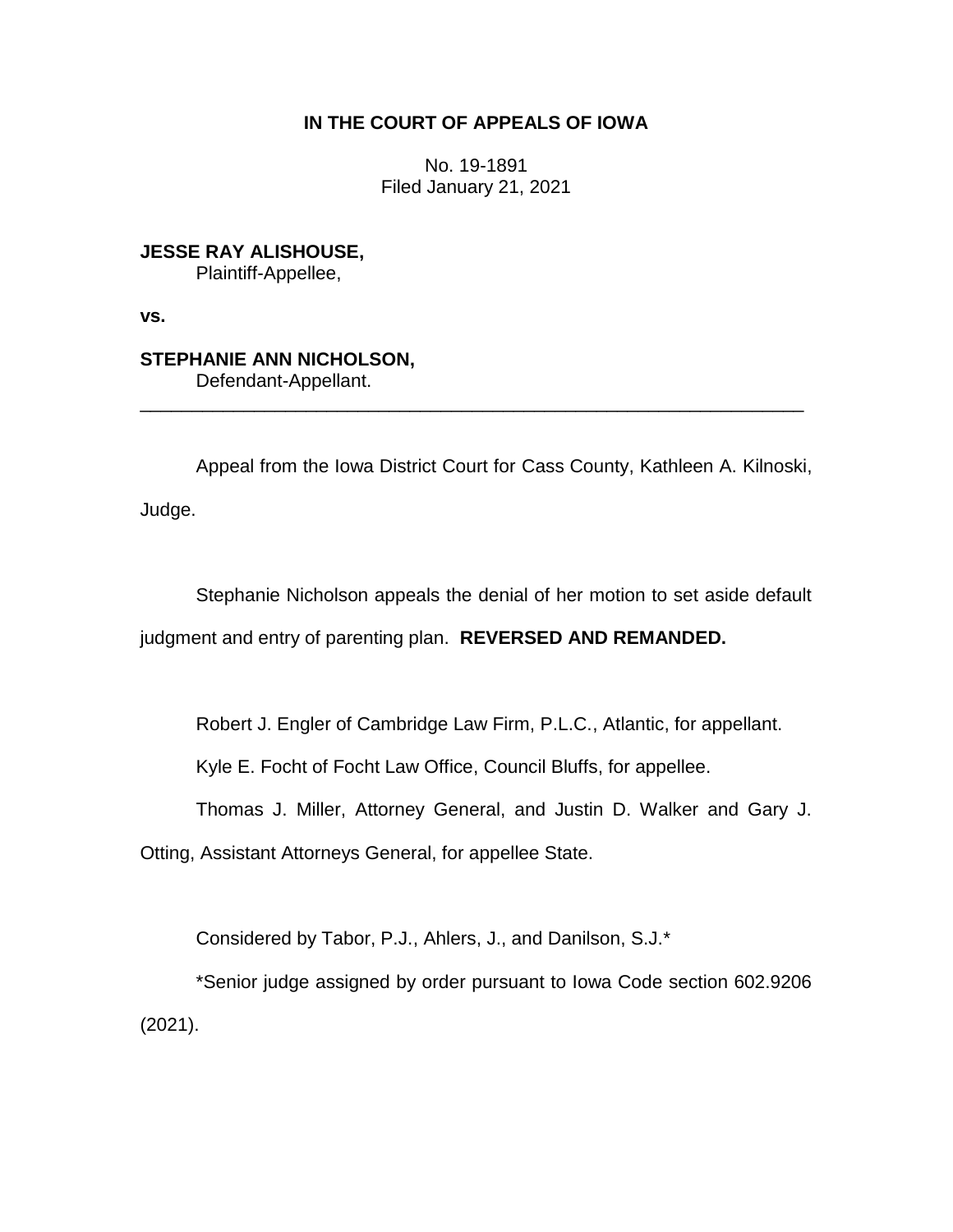## **IN THE COURT OF APPEALS OF IOWA**

No. 19-1891 Filed January 21, 2021

**JESSE RAY ALISHOUSE,** Plaintiff-Appellee,

**vs.**

## **STEPHANIE ANN NICHOLSON,**

Defendant-Appellant. \_\_\_\_\_\_\_\_\_\_\_\_\_\_\_\_\_\_\_\_\_\_\_\_\_\_\_\_\_\_\_\_\_\_\_\_\_\_\_\_\_\_\_\_\_\_\_\_\_\_\_\_\_\_\_\_\_\_\_\_\_\_\_\_

Appeal from the Iowa District Court for Cass County, Kathleen A. Kilnoski, Judge.

Stephanie Nicholson appeals the denial of her motion to set aside default judgment and entry of parenting plan. **REVERSED AND REMANDED.**

Robert J. Engler of Cambridge Law Firm, P.L.C., Atlantic, for appellant.

Kyle E. Focht of Focht Law Office, Council Bluffs, for appellee.

Thomas J. Miller, Attorney General, and Justin D. Walker and Gary J.

Otting, Assistant Attorneys General, for appellee State.

Considered by Tabor, P.J., Ahlers, J., and Danilson, S.J.\*

\*Senior judge assigned by order pursuant to Iowa Code section 602.9206 (2021).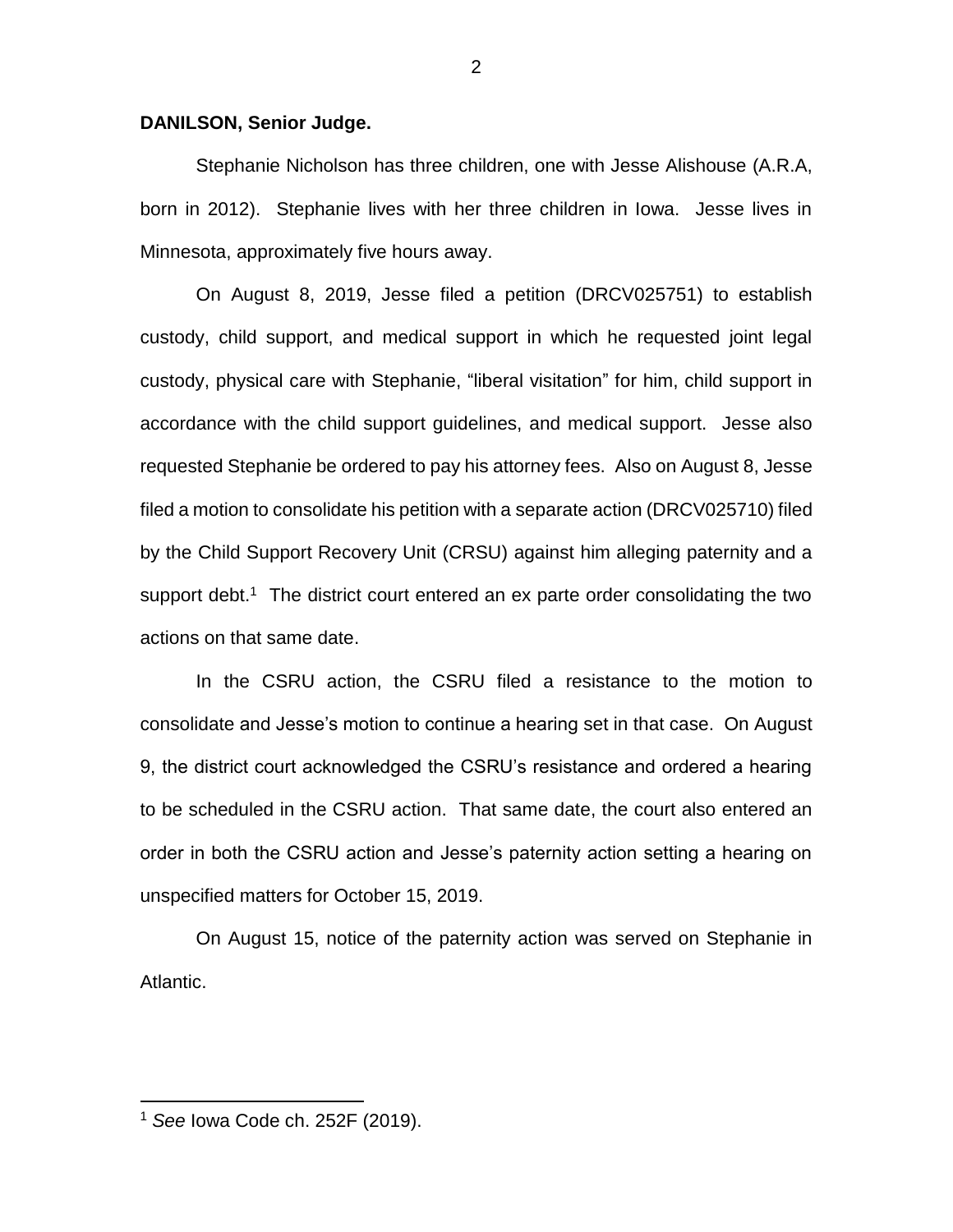## **DANILSON, Senior Judge.**

Stephanie Nicholson has three children, one with Jesse Alishouse (A.R.A, born in 2012). Stephanie lives with her three children in Iowa. Jesse lives in Minnesota, approximately five hours away.

On August 8, 2019, Jesse filed a petition (DRCV025751) to establish custody, child support, and medical support in which he requested joint legal custody, physical care with Stephanie, "liberal visitation" for him, child support in accordance with the child support guidelines, and medical support. Jesse also requested Stephanie be ordered to pay his attorney fees. Also on August 8, Jesse filed a motion to consolidate his petition with a separate action (DRCV025710) filed by the Child Support Recovery Unit (CRSU) against him alleging paternity and a support debt.<sup>1</sup> The district court entered an ex parte order consolidating the two actions on that same date.

In the CSRU action, the CSRU filed a resistance to the motion to consolidate and Jesse's motion to continue a hearing set in that case. On August 9, the district court acknowledged the CSRU's resistance and ordered a hearing to be scheduled in the CSRU action. That same date, the court also entered an order in both the CSRU action and Jesse's paternity action setting a hearing on unspecified matters for October 15, 2019.

On August 15, notice of the paternity action was served on Stephanie in Atlantic.

 $\overline{a}$ 

<sup>1</sup> *See* Iowa Code ch. 252F (2019).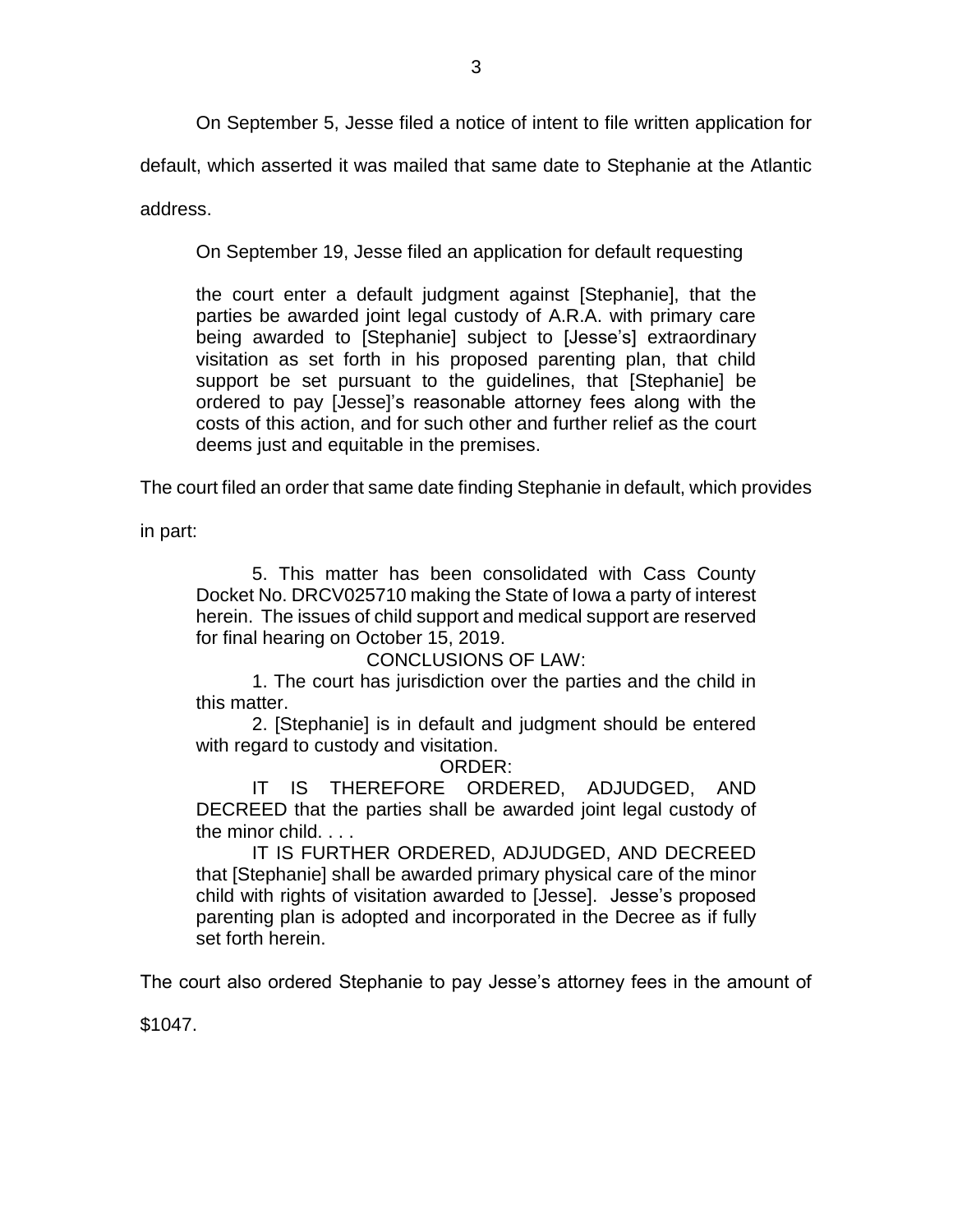On September 5, Jesse filed a notice of intent to file written application for

default, which asserted it was mailed that same date to Stephanie at the Atlantic

address.

On September 19, Jesse filed an application for default requesting

the court enter a default judgment against [Stephanie], that the parties be awarded joint legal custody of A.R.A. with primary care being awarded to [Stephanie] subject to [Jesse's] extraordinary visitation as set forth in his proposed parenting plan, that child support be set pursuant to the guidelines, that [Stephanie] be ordered to pay [Jesse]'s reasonable attorney fees along with the costs of this action, and for such other and further relief as the court deems just and equitable in the premises.

The court filed an order that same date finding Stephanie in default, which provides

in part:

5. This matter has been consolidated with Cass County Docket No. DRCV025710 making the State of Iowa a party of interest herein. The issues of child support and medical support are reserved for final hearing on October 15, 2019.

CONCLUSIONS OF LAW:

1. The court has jurisdiction over the parties and the child in this matter.

2. [Stephanie] is in default and judgment should be entered with regard to custody and visitation.

ORDER:

IT IS THEREFORE ORDERED, ADJUDGED, AND DECREED that the parties shall be awarded joint legal custody of the minor child. . . .

IT IS FURTHER ORDERED, ADJUDGED, AND DECREED that [Stephanie] shall be awarded primary physical care of the minor child with rights of visitation awarded to [Jesse]. Jesse's proposed parenting plan is adopted and incorporated in the Decree as if fully set forth herein.

The court also ordered Stephanie to pay Jesse's attorney fees in the amount of

\$1047.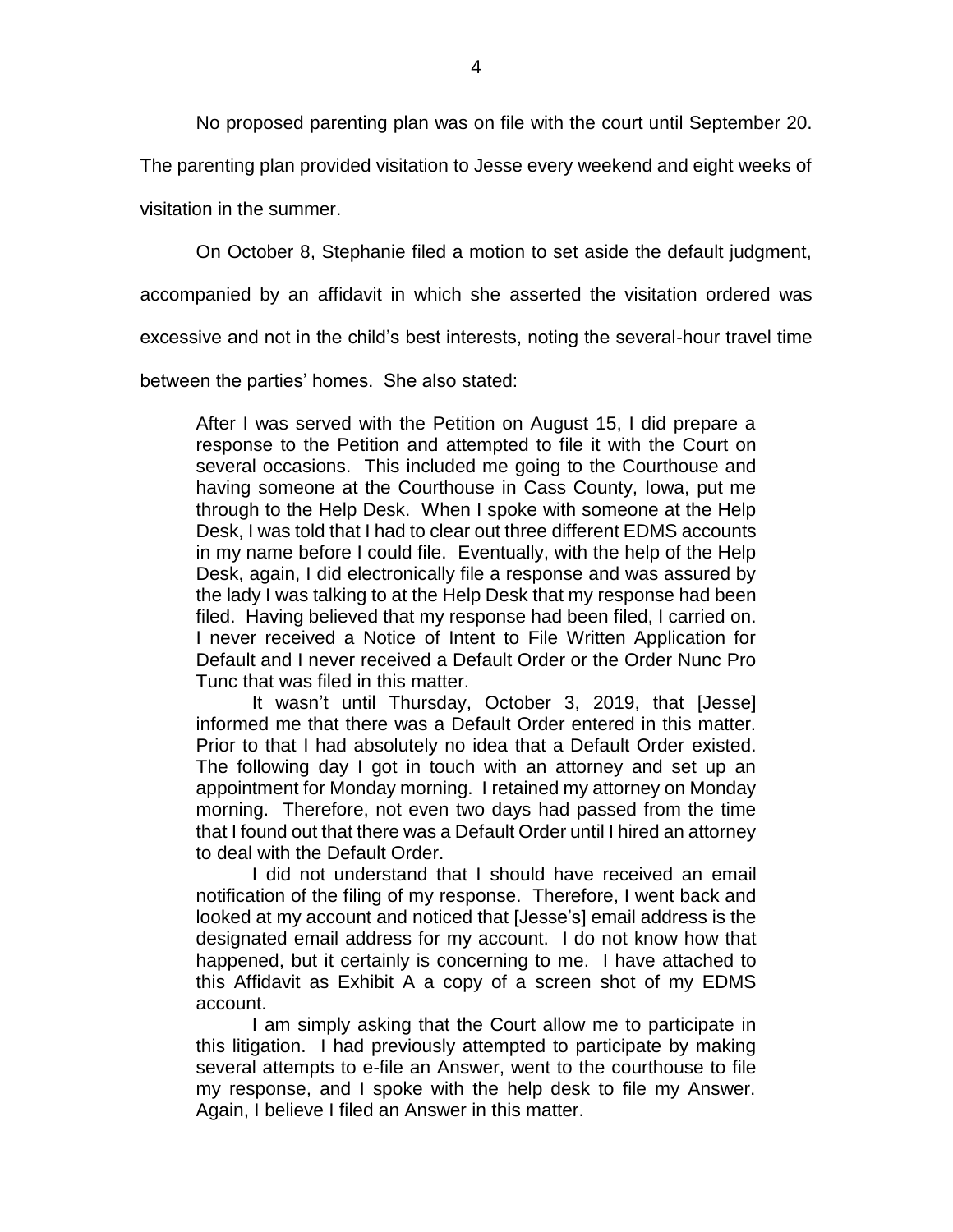No proposed parenting plan was on file with the court until September 20.

The parenting plan provided visitation to Jesse every weekend and eight weeks of

visitation in the summer.

On October 8, Stephanie filed a motion to set aside the default judgment,

accompanied by an affidavit in which she asserted the visitation ordered was

excessive and not in the child's best interests, noting the several-hour travel time

between the parties' homes. She also stated:

After I was served with the Petition on August 15, I did prepare a response to the Petition and attempted to file it with the Court on several occasions. This included me going to the Courthouse and having someone at the Courthouse in Cass County, Iowa, put me through to the Help Desk. When I spoke with someone at the Help Desk, I was told that I had to clear out three different EDMS accounts in my name before I could file. Eventually, with the help of the Help Desk, again, I did electronically file a response and was assured by the lady I was talking to at the Help Desk that my response had been filed. Having believed that my response had been filed, I carried on. I never received a Notice of Intent to File Written Application for Default and I never received a Default Order or the Order Nunc Pro Tunc that was filed in this matter.

It wasn't until Thursday, October 3, 2019, that [Jesse] informed me that there was a Default Order entered in this matter. Prior to that I had absolutely no idea that a Default Order existed. The following day I got in touch with an attorney and set up an appointment for Monday morning. I retained my attorney on Monday morning. Therefore, not even two days had passed from the time that I found out that there was a Default Order until I hired an attorney to deal with the Default Order.

I did not understand that I should have received an email notification of the filing of my response. Therefore, I went back and looked at my account and noticed that [Jesse's] email address is the designated email address for my account. I do not know how that happened, but it certainly is concerning to me. I have attached to this Affidavit as Exhibit A a copy of a screen shot of my EDMS account.

I am simply asking that the Court allow me to participate in this litigation. I had previously attempted to participate by making several attempts to e-file an Answer, went to the courthouse to file my response, and I spoke with the help desk to file my Answer. Again, I believe I filed an Answer in this matter.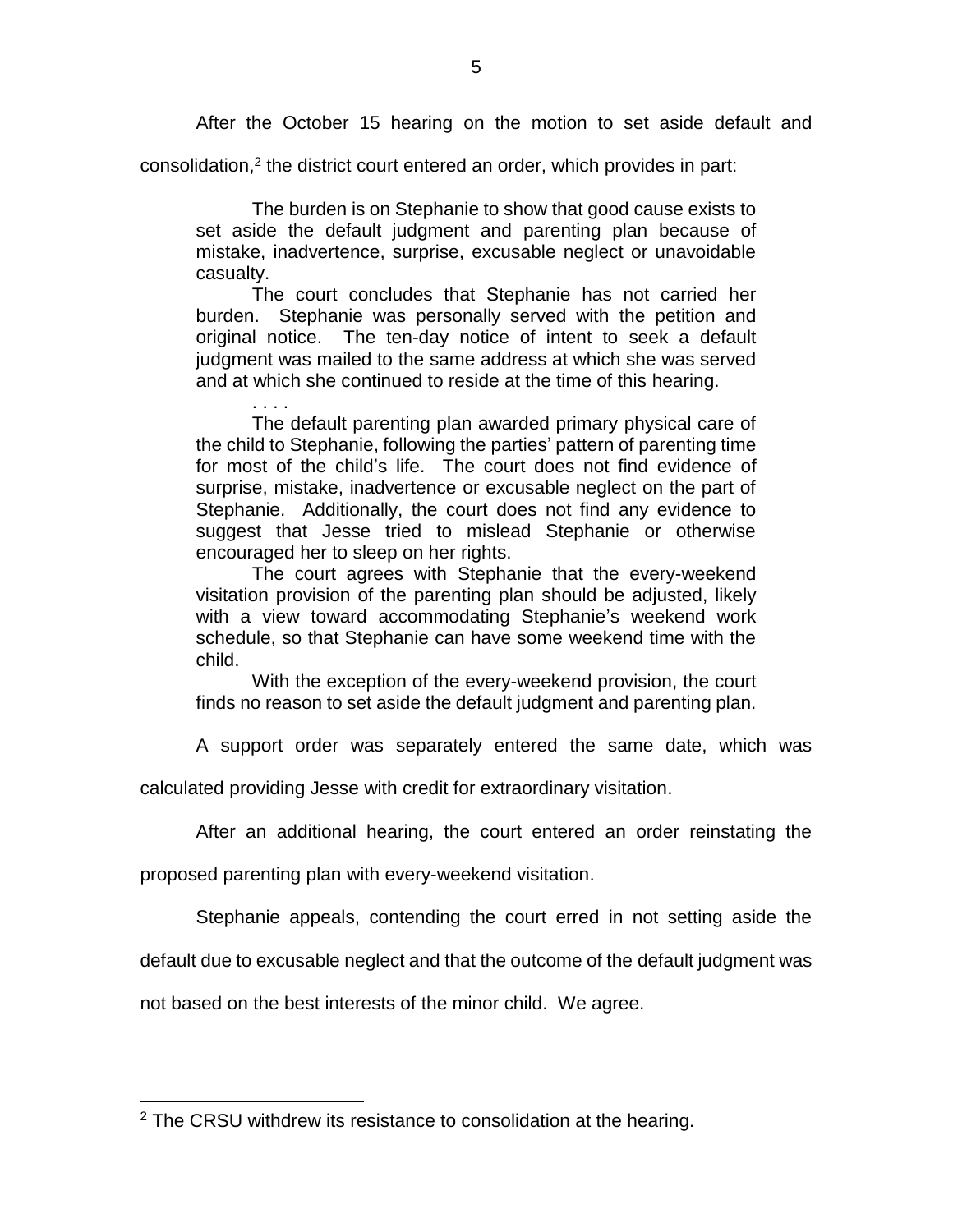After the October 15 hearing on the motion to set aside default and

consolidation, 2 the district court entered an order, which provides in part:

The burden is on Stephanie to show that good cause exists to set aside the default judgment and parenting plan because of mistake, inadvertence, surprise, excusable neglect or unavoidable casualty.

The court concludes that Stephanie has not carried her burden. Stephanie was personally served with the petition and original notice. The ten-day notice of intent to seek a default judgment was mailed to the same address at which she was served and at which she continued to reside at the time of this hearing.

. . . . The default parenting plan awarded primary physical care of the child to Stephanie, following the parties' pattern of parenting time for most of the child's life. The court does not find evidence of surprise, mistake, inadvertence or excusable neglect on the part of Stephanie. Additionally, the court does not find any evidence to suggest that Jesse tried to mislead Stephanie or otherwise encouraged her to sleep on her rights.

The court agrees with Stephanie that the every-weekend visitation provision of the parenting plan should be adjusted, likely with a view toward accommodating Stephanie's weekend work schedule, so that Stephanie can have some weekend time with the child.

With the exception of the every-weekend provision, the court finds no reason to set aside the default judgment and parenting plan.

A support order was separately entered the same date, which was

calculated providing Jesse with credit for extraordinary visitation.

After an additional hearing, the court entered an order reinstating the

proposed parenting plan with every-weekend visitation.

Stephanie appeals, contending the court erred in not setting aside the

default due to excusable neglect and that the outcome of the default judgment was

not based on the best interests of the minor child. We agree.

 $\overline{a}$ 

<sup>&</sup>lt;sup>2</sup> The CRSU withdrew its resistance to consolidation at the hearing.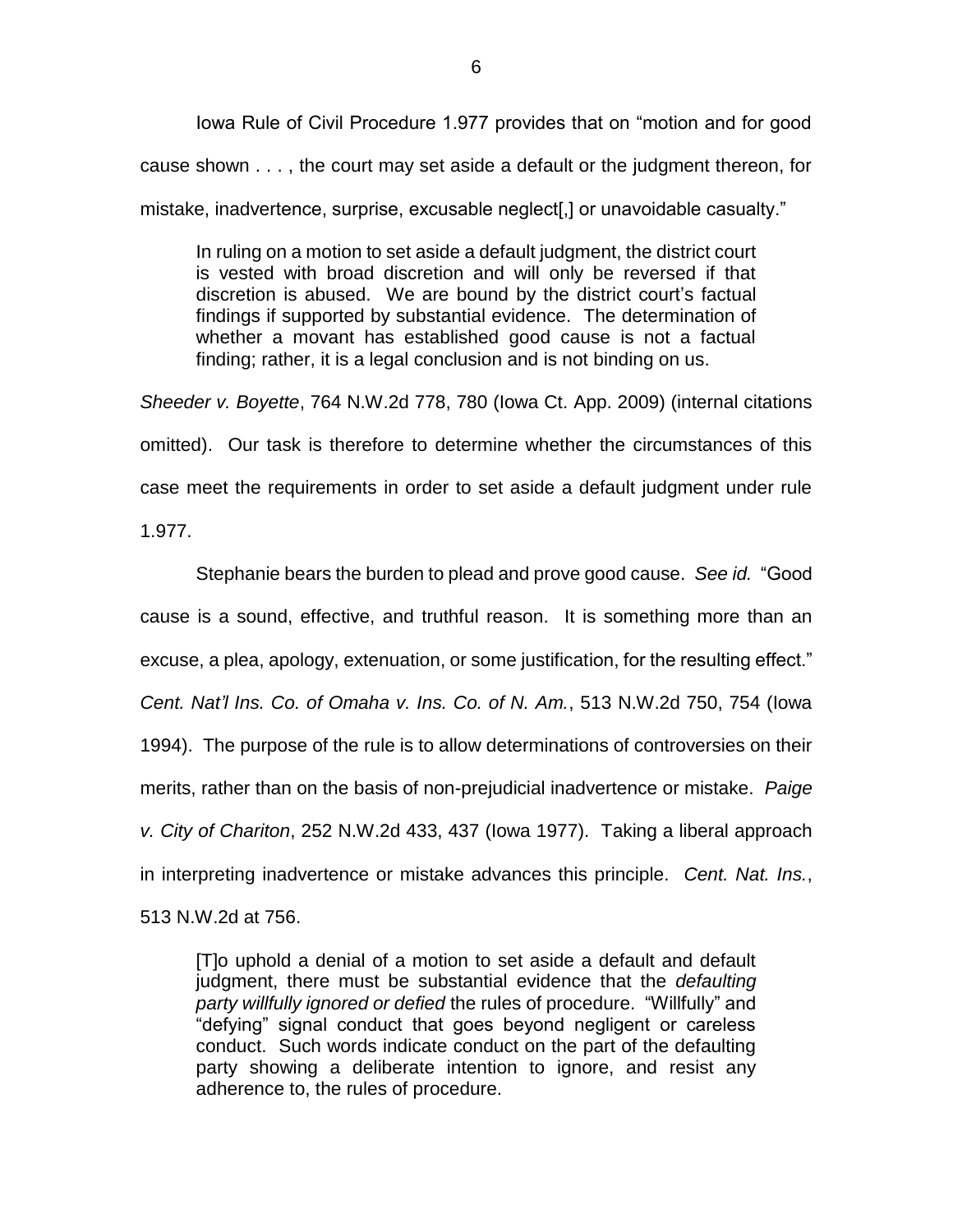Iowa Rule of Civil Procedure 1.977 provides that on "motion and for good cause shown . . . , the court may set aside a default or the judgment thereon, for mistake, inadvertence, surprise, excusable neglect[,] or unavoidable casualty."

In ruling on a motion to set aside a default judgment, the district court is vested with broad discretion and will only be reversed if that discretion is abused. We are bound by the district court's factual findings if supported by substantial evidence. The determination of whether a movant has established good cause is not a factual finding; rather, it is a legal conclusion and is not binding on us.

*Sheeder v. Boyette*, 764 N.W.2d 778, 780 (Iowa Ct. App. 2009) (internal citations omitted). Our task is therefore to determine whether the circumstances of this case meet the requirements in order to set aside a default judgment under rule 1.977.

Stephanie bears the burden to plead and prove good cause. *See id.* "Good cause is a sound, effective, and truthful reason. It is something more than an excuse, a plea, apology, extenuation, or some justification, for the resulting effect." *Cent. Nat'l Ins. Co. of Omaha v. Ins. Co. of N. Am.*, 513 N.W.2d 750, 754 (Iowa 1994). The purpose of the rule is to allow determinations of controversies on their merits, rather than on the basis of non-prejudicial inadvertence or mistake. *Paige v. City of Chariton*, 252 N.W.2d 433, 437 (Iowa 1977). Taking a liberal approach in interpreting inadvertence or mistake advances this principle. *Cent. Nat. Ins.*, 513 N.W.2d at 756.

[T]o uphold a denial of a motion to set aside a default and default judgment, there must be substantial evidence that the *defaulting party willfully ignored or defied* the rules of procedure. "Willfully" and "defying" signal conduct that goes beyond negligent or careless conduct. Such words indicate conduct on the part of the defaulting party showing a deliberate intention to ignore, and resist any adherence to, the rules of procedure.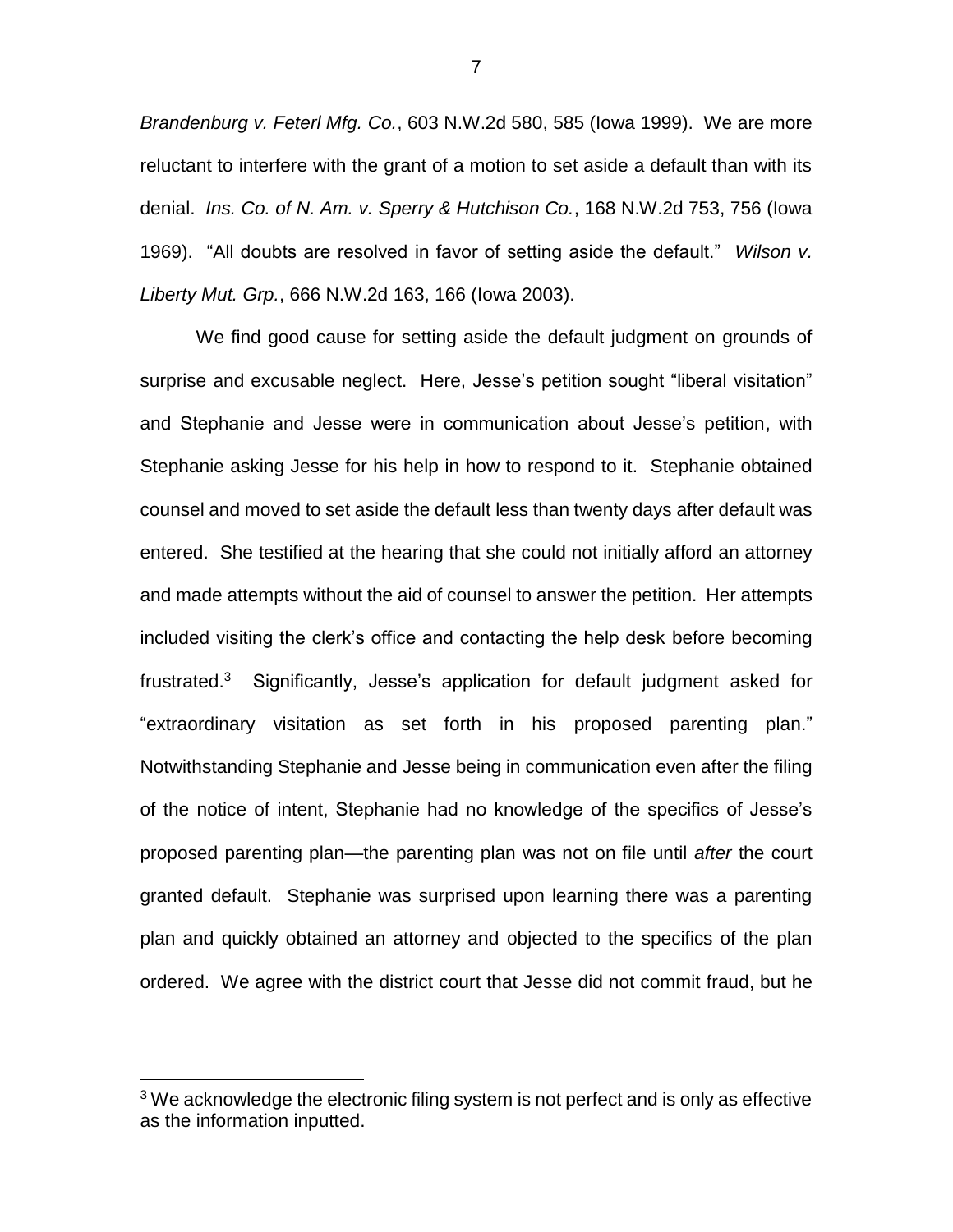*Brandenburg v. Feterl Mfg. Co.*, 603 N.W.2d 580, 585 (Iowa 1999). We are more reluctant to interfere with the grant of a motion to set aside a default than with its denial. *Ins. Co. of N. Am. v. Sperry & Hutchison Co.*, 168 N.W.2d 753, 756 (Iowa 1969). "All doubts are resolved in favor of setting aside the default." *Wilson v. Liberty Mut. Grp.*, 666 N.W.2d 163, 166 (Iowa 2003).

We find good cause for setting aside the default judgment on grounds of surprise and excusable neglect. Here, Jesse's petition sought "liberal visitation" and Stephanie and Jesse were in communication about Jesse's petition, with Stephanie asking Jesse for his help in how to respond to it. Stephanie obtained counsel and moved to set aside the default less than twenty days after default was entered. She testified at the hearing that she could not initially afford an attorney and made attempts without the aid of counsel to answer the petition. Her attempts included visiting the clerk's office and contacting the help desk before becoming frustrated.<sup>3</sup> Significantly, Jesse's application for default judgment asked for "extraordinary visitation as set forth in his proposed parenting plan." Notwithstanding Stephanie and Jesse being in communication even after the filing of the notice of intent, Stephanie had no knowledge of the specifics of Jesse's proposed parenting plan—the parenting plan was not on file until *after* the court granted default. Stephanie was surprised upon learning there was a parenting plan and quickly obtained an attorney and objected to the specifics of the plan ordered. We agree with the district court that Jesse did not commit fraud, but he

 $\overline{a}$ 

7

 $3$  We acknowledge the electronic filing system is not perfect and is only as effective as the information inputted.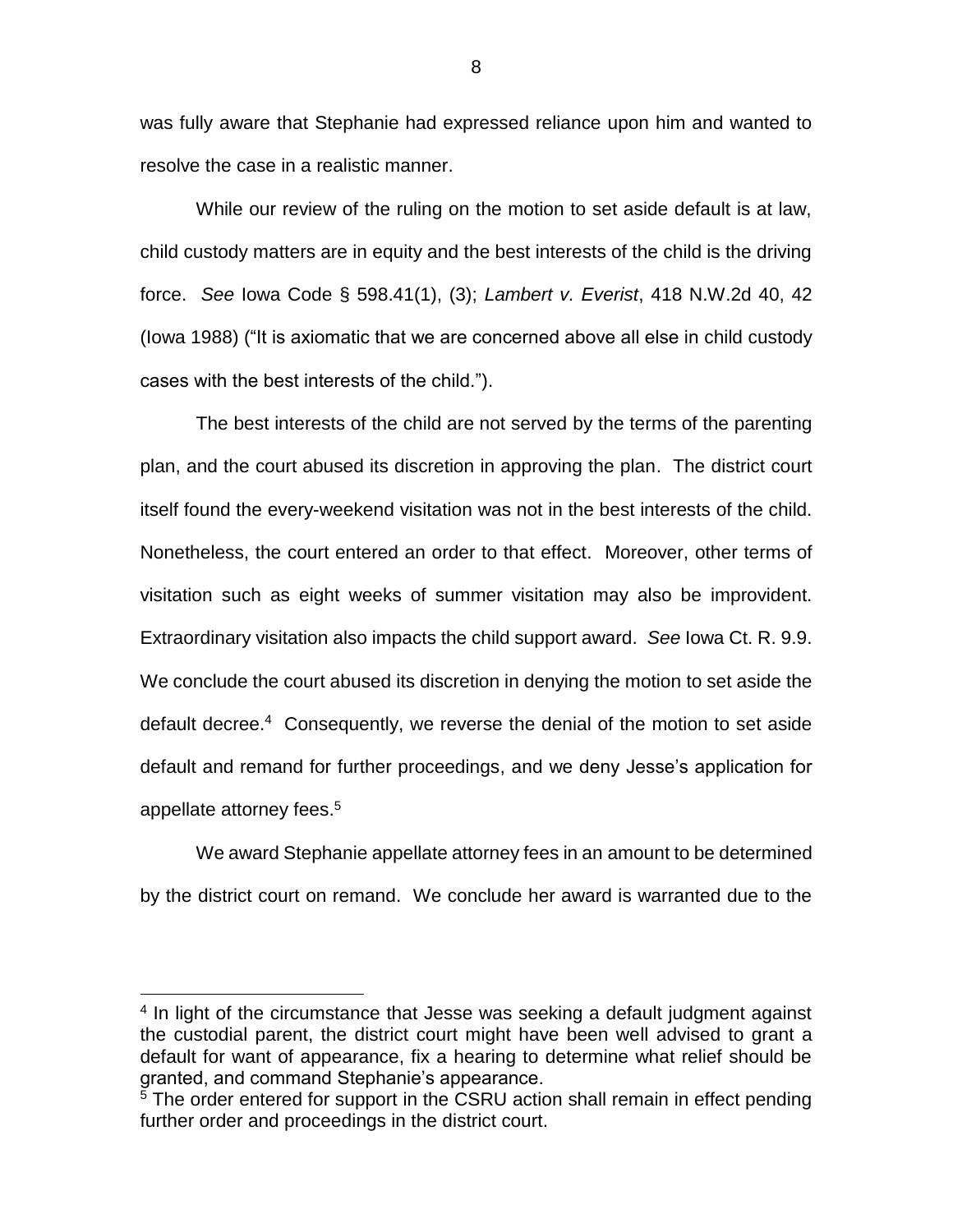was fully aware that Stephanie had expressed reliance upon him and wanted to resolve the case in a realistic manner.

While our review of the ruling on the motion to set aside default is at law, child custody matters are in equity and the best interests of the child is the driving force. *See* Iowa Code § 598.41(1), (3); *Lambert v. Everist*, 418 N.W.2d 40, 42 (Iowa 1988) ("It is axiomatic that we are concerned above all else in child custody cases with the best interests of the child.").

The best interests of the child are not served by the terms of the parenting plan, and the court abused its discretion in approving the plan. The district court itself found the every-weekend visitation was not in the best interests of the child. Nonetheless, the court entered an order to that effect. Moreover, other terms of visitation such as eight weeks of summer visitation may also be improvident. Extraordinary visitation also impacts the child support award. *See* Iowa Ct. R. 9.9. We conclude the court abused its discretion in denying the motion to set aside the default decree.<sup>4</sup> Consequently, we reverse the denial of the motion to set aside default and remand for further proceedings, and we deny Jesse's application for appellate attorney fees. 5

We award Stephanie appellate attorney fees in an amount to be determined by the district court on remand. We conclude her award is warranted due to the

 $\overline{a}$ 

8

<sup>&</sup>lt;sup>4</sup> In light of the circumstance that Jesse was seeking a default judgment against the custodial parent, the district court might have been well advised to grant a default for want of appearance, fix a hearing to determine what relief should be granted, and command Stephanie's appearance.

<sup>&</sup>lt;sup>5</sup> The order entered for support in the CSRU action shall remain in effect pending further order and proceedings in the district court.